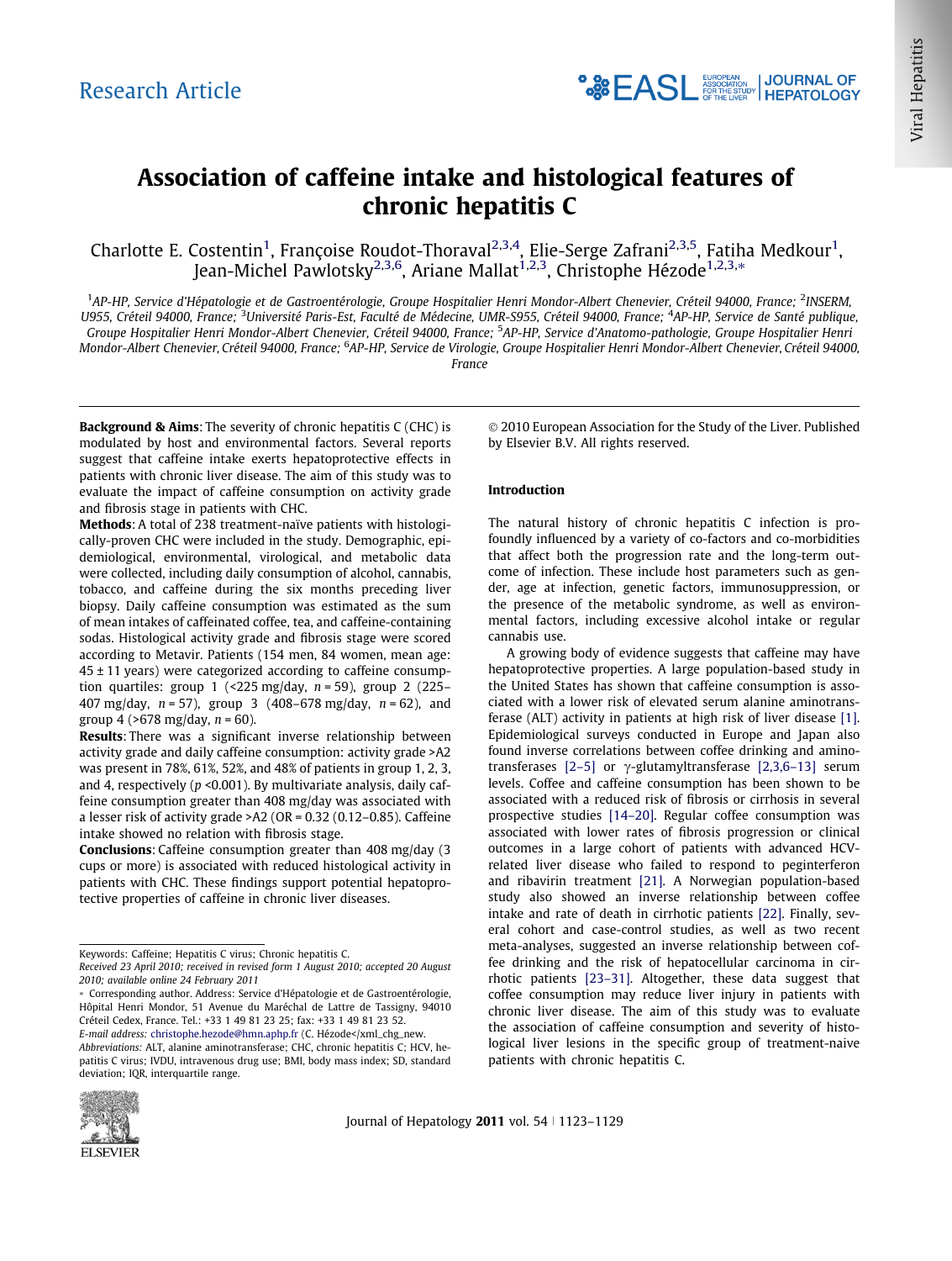# Association of caffeine intake and histological features of chronic hepatitis C

Charlotte E. Costentin<sup>1</sup>, Françoise Roudot-Thoraval<sup>2,3,4</sup>, Elie-Serge Zafrani<sup>2,3,5</sup>, Fatiha Medkour<sup>1</sup>, Jean-Michel Pawlotsky<sup>2,3,6</sup>, Ariane Mallat<sup>1,2,3</sup>, Christophe Hézode<sup>1,2,3,</sup>\*

<sup>1</sup>AP-HP, Service d'Hépatologie et de Gastroentérologie, Groupe Hospitalier Henri Mondor-Albert Chenevier, Créteil 94000, France; <sup>2</sup>INSERM, U955, Créteil 94000, France; <sup>3</sup>Université Paris-Est, Faculté de Médecine, UMR-S955, Créteil 94000, France; <sup>4</sup>AP-HP, Service de Santé publique, Groupe Hospitalier Henri Mondor-Albert Chenevier, Créteil 94000, France; <sup>5</sup>AP-HP, Service d'Anatomo-pathologie, Groupe Hospitalier Henri Mondor-Albert Chenevier, Créteil 94000, France; <sup>6</sup>AP-HP, Service de Virologie, Groupe Hospitalier Henri Mondor-Albert Chenevier, Créteil 94000, France

Background & Aims: The severity of chronic hepatitis C (CHC) is modulated by host and environmental factors. Several reports suggest that caffeine intake exerts hepatoprotective effects in patients with chronic liver disease. The aim of this study was to evaluate the impact of caffeine consumption on activity grade and fibrosis stage in patients with CHC.

Methods: A total of 238 treatment-naïve patients with histologically-proven CHC were included in the study. Demographic, epidemiological, environmental, virological, and metabolic data were collected, including daily consumption of alcohol, cannabis, tobacco, and caffeine during the six months preceding liver biopsy. Daily caffeine consumption was estimated as the sum of mean intakes of caffeinated coffee, tea, and caffeine-containing sodas. Histological activity grade and fibrosis stage were scored according to Metavir. Patients (154 men, 84 women, mean age:  $45 \pm 11$  years) were categorized according to caffeine consumption quartiles: group 1 (<225 mg/day,  $n = 59$ ), group 2 (225– 407 mg/day,  $n = 57$ ), group 3 (408-678 mg/day,  $n = 62$ ), and group 4 (>678 mg/day,  $n = 60$ ).

Results: There was a significant inverse relationship between activity grade and daily caffeine consumption: activity grade >A2 was present in 78%, 61%, 52%, and 48% of patients in group 1, 2, 3, and 4, respectively ( $p$  <0.001). By multivariate analysis, daily caffeine consumption greater than 408 mg/day was associated with a lesser risk of activity grade >A2 (OR = 0.32 (0.12–0.85). Caffeine intake showed no relation with fibrosis stage.

Conclusions: Caffeine consumption greater than 408 mg/day (3 cups or more) is associated with reduced histological activity in patients with CHC. These findings support potential hepatoprotective properties of caffeine in chronic liver diseases.



### Introduction

The natural history of chronic hepatitis C infection is profoundly influenced by a variety of co-factors and co-morbidities that affect both the progression rate and the long-term outcome of infection. These include host parameters such as gender, age at infection, genetic factors, immunosuppression, or the presence of the metabolic syndrome, as well as environmental factors, including excessive alcohol intake or regular cannabis use.

A growing body of evidence suggests that caffeine may have hepatoprotective properties. A large population-based study in the United States has shown that caffeine consumption is associated with a lower risk of elevated serum alanine aminotransferase (ALT) activity in patients at high risk of liver disease [\[1\]](#page-5-0). Epidemiological surveys conducted in Europe and Japan also found inverse correlations between coffee drinking and aminotransferases  $[2-5]$  or  $\gamma$ -glutamyltransferase  $[2,3,6-13]$  serum levels. Coffee and caffeine consumption has been shown to be associated with a reduced risk of fibrosis or cirrhosis in several prospective studies [\[14–20\].](#page-5-0) Regular coffee consumption was associated with lower rates of fibrosis progression or clinical outcomes in a large cohort of patients with advanced HCVrelated liver disease who failed to respond to peginterferon and ribavirin treatment [\[21\]](#page-6-0). A Norwegian population-based study also showed an inverse relationship between coffee intake and rate of death in cirrhotic patients [\[22\].](#page-6-0) Finally, several cohort and case-control studies, as well as two recent meta-analyses, suggested an inverse relationship between coffee drinking and the risk of hepatocellular carcinoma in cirrhotic patients [\[23–31\]](#page-6-0). Altogether, these data suggest that coffee consumption may reduce liver injury in patients with chronic liver disease. The aim of this study was to evaluate the association of caffeine consumption and severity of histological liver lesions in the specific group of treatment-naive patients with chronic hepatitis C.



Keywords: Caffeine; Hepatitis C virus; Chronic hepatitis C.

Received 23 April 2010; received in revised form 1 August 2010; accepted 20 August 2010; available online 24 February 2011

<sup>⇑</sup> Corresponding author. Address: Service d'Hépatologie et de Gastroentérologie, Hôpital Henri Mondor, 51 Avenue du Maréchal de Lattre de Tassigny, 94010 Créteil Cedex, France. Tel.: +33 1 49 81 23 25; fax: +33 1 49 81 23 52.

E-mail address: [christophe.hezode@hmn.aphp.fr](mailto:christophe.hezode@hmn.aphp.fr) (C. Hézode</xml\_chg\_new. Abbreviations: ALT, alanine aminotransferase; CHC, chronic hepatitis C; HCV, hepatitis C virus; IVDU, intravenous drug use; BMI, body mass index; SD, standard deviation; IQR, interquartile range.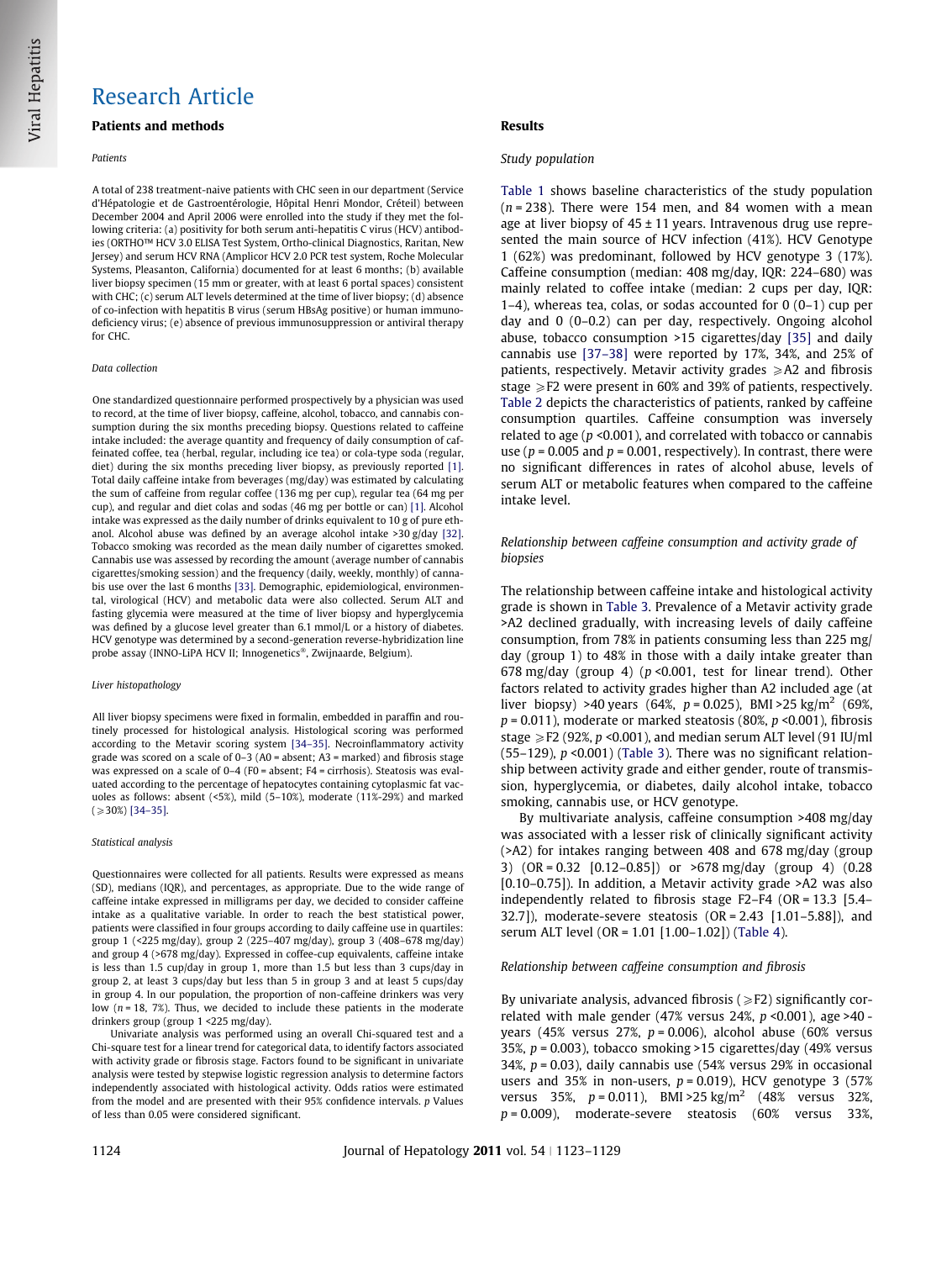## Research Article

### Patients and methods

### Patients

A total of 238 treatment-naive patients with CHC seen in our department (Service d'Hépatologie et de Gastroentérologie, Hôpital Henri Mondor, Créteil) between December 2004 and April 2006 were enrolled into the study if they met the following criteria: (a) positivity for both serum anti-hepatitis C virus (HCV) antibodies (ORTHO™ HCV 3.0 ELISA Test System, Ortho-clinical Diagnostics, Raritan, New Jersey) and serum HCV RNA (Amplicor HCV 2.0 PCR test system, Roche Molecular Systems, Pleasanton, California) documented for at least 6 months; (b) available liver biopsy specimen (15 mm or greater, with at least 6 portal spaces) consistent with CHC; (c) serum ALT levels determined at the time of liver biopsy; (d) absence of co-infection with hepatitis B virus (serum HBsAg positive) or human immunodeficiency virus; (e) absence of previous immunosuppression or antiviral therapy for CHC.

#### Data collection

One standardized questionnaire performed prospectively by a physician was used to record, at the time of liver biopsy, caffeine, alcohol, tobacco, and cannabis consumption during the six months preceding biopsy. Questions related to caffeine intake included: the average quantity and frequency of daily consumption of caffeinated coffee, tea (herbal, regular, including ice tea) or cola-type soda (regular, diet) during the six months preceding liver biopsy, as previously reported [\[1\].](#page-5-0) Total daily caffeine intake from beverages (mg/day) was estimated by calculating the sum of caffeine from regular coffee (136 mg per cup), regular tea (64 mg per cup), and regular and diet colas and sodas (46 mg per bottle or can) [\[1\]](#page-5-0). Alcohol intake was expressed as the daily number of drinks equivalent to 10 g of pure ethanol. Alcohol abuse was defined by an average alcohol intake >30 g/day [\[32\].](#page-6-0) Tobacco smoking was recorded as the mean daily number of cigarettes smoked. Cannabis use was assessed by recording the amount (average number of cannabis cigarettes/smoking session) and the frequency (daily, weekly, monthly) of cannabis use over the last 6 months [\[33\]](#page-6-0). Demographic, epidemiological, environmental, virological (HCV) and metabolic data were also collected. Serum ALT and fasting glycemia were measured at the time of liver biopsy and hyperglycemia was defined by a glucose level greater than 6.1 mmol/L or a history of diabetes. HCV genotype was determined by a second-generation reverse-hybridization line probe assay (INNO-LiPA HCV II; Innogenetics®, Zwijnaarde, Belgium).

### Liver histopathology

All liver biopsy specimens were fixed in formalin, embedded in paraffin and routinely processed for histological analysis. Histological scoring was performed according to the Metavir scoring system [\[34–35\].](#page-6-0) Necroinflammatory activity grade was scored on a scale of  $0-3$  (A0 = absent; A3 = marked) and fibrosis stage was expressed on a scale of 0–4 (F0 = absent; F4 = cirrhosis). Steatosis was evaluated according to the percentage of hepatocytes containing cytoplasmic fat vacuoles as follows: absent (<5%), mild (5–10%), moderate (11%-29%) and marked  $(230\%)$  [\[34–35\].](#page-6-0)

### Statistical analysis

Questionnaires were collected for all patients. Results were expressed as means (SD), medians (IQR), and percentages, as appropriate. Due to the wide range of caffeine intake expressed in milligrams per day, we decided to consider caffeine intake as a qualitative variable. In order to reach the best statistical power, patients were classified in four groups according to daily caffeine use in quartiles: group 1 (<225 mg/day), group 2 (225–407 mg/day), group 3 (408–678 mg/day) and group 4 (>678 mg/day). Expressed in coffee-cup equivalents, caffeine intake is less than 1.5 cup/day in group 1, more than 1.5 but less than 3 cups/day in group 2, at least 3 cups/day but less than 5 in group 3 and at least 5 cups/day in group 4. In our population, the proportion of non-caffeine drinkers was very low  $(n = 18, 7\%)$ . Thus, we decided to include these patients in the moderate drinkers group (group 1 <225 mg/day).

Univariate analysis was performed using an overall Chi-squared test and a Chi-square test for a linear trend for categorical data, to identify factors associated with activity grade or fibrosis stage. Factors found to be significant in univariate analysis were tested by stepwise logistic regression analysis to determine factors independently associated with histological activity. Odds ratios were estimated from the model and are presented with their 95% confidence intervals. p Values of less than 0.05 were considered significant.

### Results

### Study population

[Table 1](#page-2-0) shows baseline characteristics of the study population  $(n = 238)$ . There were 154 men, and 84 women with a mean age at liver biopsy of  $45 \pm 11$  years. Intravenous drug use represented the main source of HCV infection (41%). HCV Genotype 1 (62%) was predominant, followed by HCV genotype 3 (17%). Caffeine consumption (median: 408 mg/day, IQR: 224–680) was mainly related to coffee intake (median: 2 cups per day, IQR:  $1-4$ ), whereas tea, colas, or sodas accounted for  $0(0-1)$  cup per day and 0 (0–0.2) can per day, respectively. Ongoing alcohol abuse, tobacco consumption >15 cigarettes/day [\[35\]](#page-6-0) and daily cannabis use [\[37–38\]](#page-6-0) were reported by 17%, 34%, and 25% of patients, respectively. Metavir activity grades  $\geq$ A2 and fibrosis stage  $\geq$  F2 were present in 60% and 39% of patients, respectively. [Table 2](#page-3-0) depicts the characteristics of patients, ranked by caffeine consumption quartiles. Caffeine consumption was inversely related to age ( $p$  <0.001), and correlated with tobacco or cannabis use ( $p = 0.005$  and  $p = 0.001$ , respectively). In contrast, there were no significant differences in rates of alcohol abuse, levels of serum ALT or metabolic features when compared to the caffeine intake level.

### Relationship between caffeine consumption and activity grade of biopsies

The relationship between caffeine intake and histological activity grade is shown in [Table 3](#page-4-0). Prevalence of a Metavir activity grade >A2 declined gradually, with increasing levels of daily caffeine consumption, from 78% in patients consuming less than 225 mg/ day (group 1) to 48% in those with a daily intake greater than 678 mg/day (group 4) ( $p$  <0.001, test for linear trend). Other factors related to activity grades higher than A2 included age (at liver biopsy) >40 years (64%,  $p = 0.025$ ), BMI >25 kg/m<sup>2</sup> (69%,  $p = 0.011$ ), moderate or marked steatosis (80%,  $p \le 0.001$ ), fibrosis stage  $\geq$  F2 (92%, p <0.001), and median serum ALT level (91 IU/ml (55–129),  $p$  <0.001) [\(Table 3\)](#page-4-0). There was no significant relationship between activity grade and either gender, route of transmission, hyperglycemia, or diabetes, daily alcohol intake, tobacco smoking, cannabis use, or HCV genotype.

By multivariate analysis, caffeine consumption >408 mg/day was associated with a lesser risk of clinically significant activity (>A2) for intakes ranging between 408 and 678 mg/day (group 3) (OR = 0.32 [0.12–0.85]) or >678 mg/day (group 4) (0.28 [0.10–0.75]). In addition, a Metavir activity grade >A2 was also independently related to fibrosis stage F2–F4 (OR = 13.3 [5.4– 32.7]), moderate-severe steatosis (OR = 2.43 [1.01–5.88]), and serum ALT level (OR = 1.01 [1.00–1.02]) ([Table 4](#page-4-0)).

### Relationship between caffeine consumption and fibrosis

By univariate analysis, advanced fibrosis ( $\geq$ F2) significantly correlated with male gender (47% versus 24%,  $p$  <0.001), age >40 years (45% versus 27%,  $p = 0.006$ ), alcohol abuse (60% versus 35%, p = 0.003), tobacco smoking >15 cigarettes/day (49% versus 34%,  $p = 0.03$ ), daily cannabis use (54% versus 29% in occasional users and 35% in non-users,  $p = 0.019$ ), HCV genotype 3 (57% versus 35%,  $p = 0.011$ ), BMI > 25 kg/m<sup>2</sup> (48% versus 32%,  $p = 0.009$ ), moderate-severe steatosis (60% versus 33%,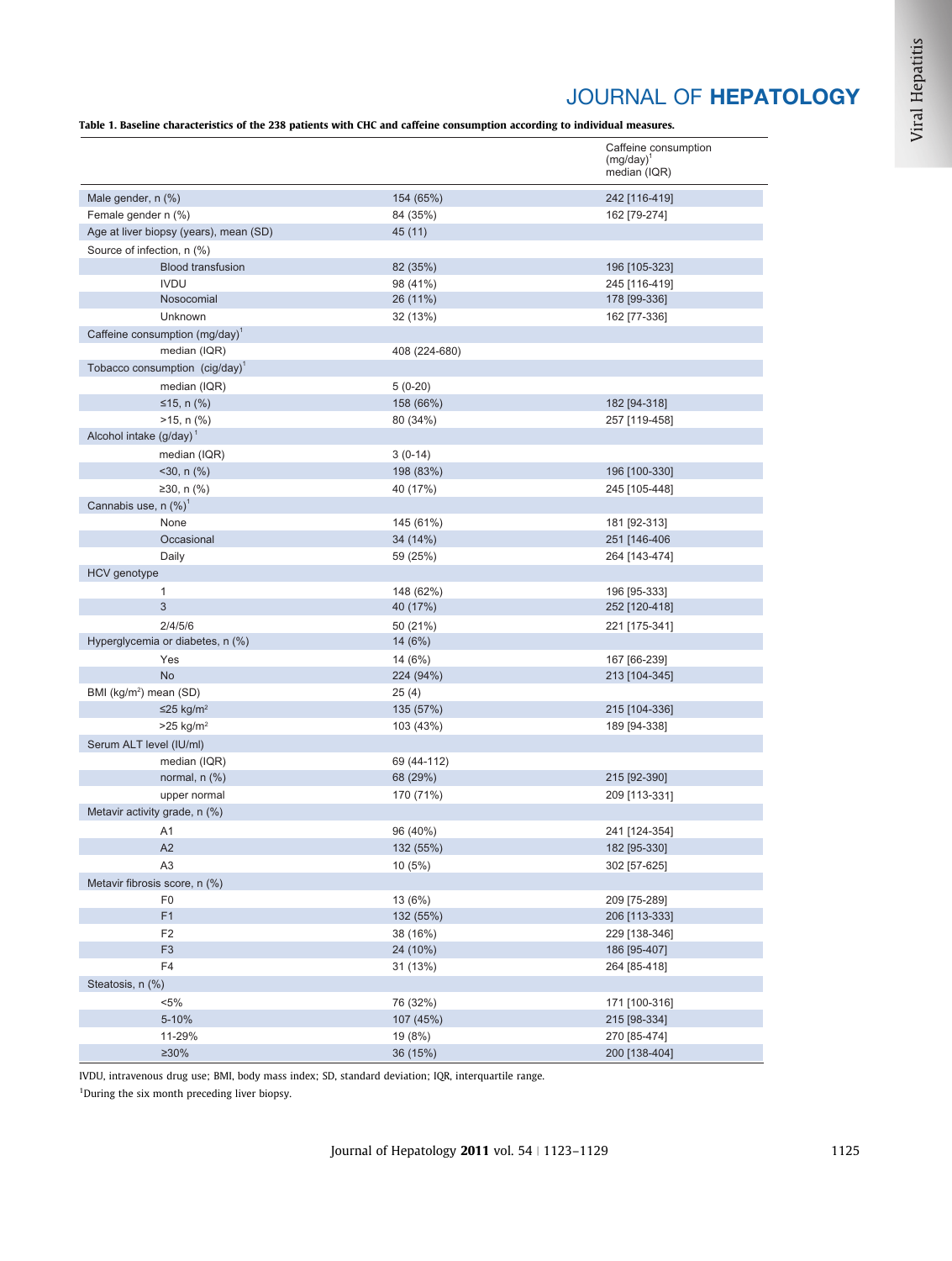# JOURNAL OF HEPATOLOGY

<span id="page-2-0"></span>Table 1. Baseline characteristics of the 238 patients with CHC and caffeine consumption according to individual measures.

|                                               |                      | Caffeine consumption<br>$(mg/day)^1$ |
|-----------------------------------------------|----------------------|--------------------------------------|
|                                               |                      | median (IQR)                         |
| Male gender, n (%)                            | 154 (65%)            | 242 [116-419]                        |
| Female gender n (%)                           | 84 (35%)             | 162 [79-274]                         |
| Age at liver biopsy (years), mean (SD)        | 45 (11)              |                                      |
| Source of infection, n (%)                    |                      |                                      |
| <b>Blood transfusion</b>                      | 82 (35%)             | 196 [105-323]                        |
| <b>IVDU</b>                                   | 98 (41%)             | 245 [116-419]                        |
| Nosocomial                                    | 26 (11%)             | 178 [99-336]                         |
| Unknown                                       | 32 (13%)             | 162 [77-336]                         |
| Caffeine consumption (mg/day) <sup>1</sup>    |                      |                                      |
| median (IQR)                                  | 408 (224-680)        |                                      |
| Tobacco consumption (cig/day) <sup>1</sup>    |                      |                                      |
| median (IQR)                                  | $5(0-20)$            |                                      |
| ≤15, n $(\% )$                                | 158 (66%)            | 182 [94-318]                         |
| $>15$ , n $(\%)$                              | 80 (34%)             | 257 [119-458]                        |
| Alcohol intake $(g/day)^1$                    |                      |                                      |
| median (IQR)                                  | $3(0-14)$            |                                      |
| $<$ 30, n $(\%)$                              | 198 (83%)            | 196 [100-330]                        |
| ≥30, n $(\% )$                                | 40 (17%)             | 245 [105-448]                        |
| Cannabis use, n $(\%)^1$                      |                      |                                      |
| None                                          | 145 (61%)            | 181 [92-313]                         |
| Occasional                                    | 34 (14%)             | 251 [146-406                         |
| Daily                                         | 59 (25%)             | 264 [143-474]                        |
| HCV genotype                                  |                      |                                      |
| 1                                             | 148 (62%)            | 196 [95-333]                         |
| 3                                             | 40 (17%)             | 252 [120-418]                        |
| 2/4/5/6                                       | 50 (21%)             | 221 [175-341]                        |
| Hyperglycemia or diabetes, n (%)              | 14 (6%)              |                                      |
| Yes                                           | 14 (6%)              | 167 [66-239]                         |
| <b>No</b>                                     | 224 (94%)            | 213 [104-345]                        |
| BMI (kg/m <sup>2</sup> ) mean (SD)            | 25(4)                |                                      |
| ≤25 kg/m <sup>2</sup>                         | 135 (57%)            | 215 [104-336]                        |
| $>25$ kg/m <sup>2</sup>                       | 103 (43%)            | 189 [94-338]                         |
| Serum ALT level (IU/ml)                       |                      |                                      |
| median (IQR)                                  | 69 (44-112)          |                                      |
| normal, $n$ $(\%)$                            | 68 (29%)             | 215 [92-390]                         |
| upper normal<br>Metavir activity grade, n (%) | 170 (71%)            | 209 [113-331]                        |
|                                               |                      |                                      |
| A1                                            | 96 (40%)             | 241 [124-354]                        |
| A2                                            | 132 (55%)            | 182 [95-330]                         |
| A <sub>3</sub>                                | 10(5%)               | 302 [57-625]                         |
| Metavir fibrosis score, n (%)                 |                      |                                      |
| F <sub>0</sub><br>F1                          | 13 (6%)<br>132 (55%) | 209 [75-289]<br>206 [113-333]        |
| F <sub>2</sub>                                | 38 (16%)             |                                      |
| F <sub>3</sub>                                | 24 (10%)             | 229 [138-346]<br>186 [95-407]        |
| F4                                            | 31 (13%)             | 264 [85-418]                         |
| Steatosis, n (%)                              |                      |                                      |
| $< 5\%$                                       | 76 (32%)             | 171 [100-316]                        |
| 5-10%                                         | 107 (45%)            | 215 [98-334]                         |
| 11-29%                                        | 19 (8%)              | 270 [85-474]                         |
| $\geq 30\%$                                   |                      |                                      |
|                                               | 36 (15%)             | 200 [138-404]                        |

Viral Hepatitis

IVDU, intravenous drug use; BMI, body mass index; SD, standard deviation; IQR, interquartile range. <sup>1</sup>During the six month preceding liver biopsy.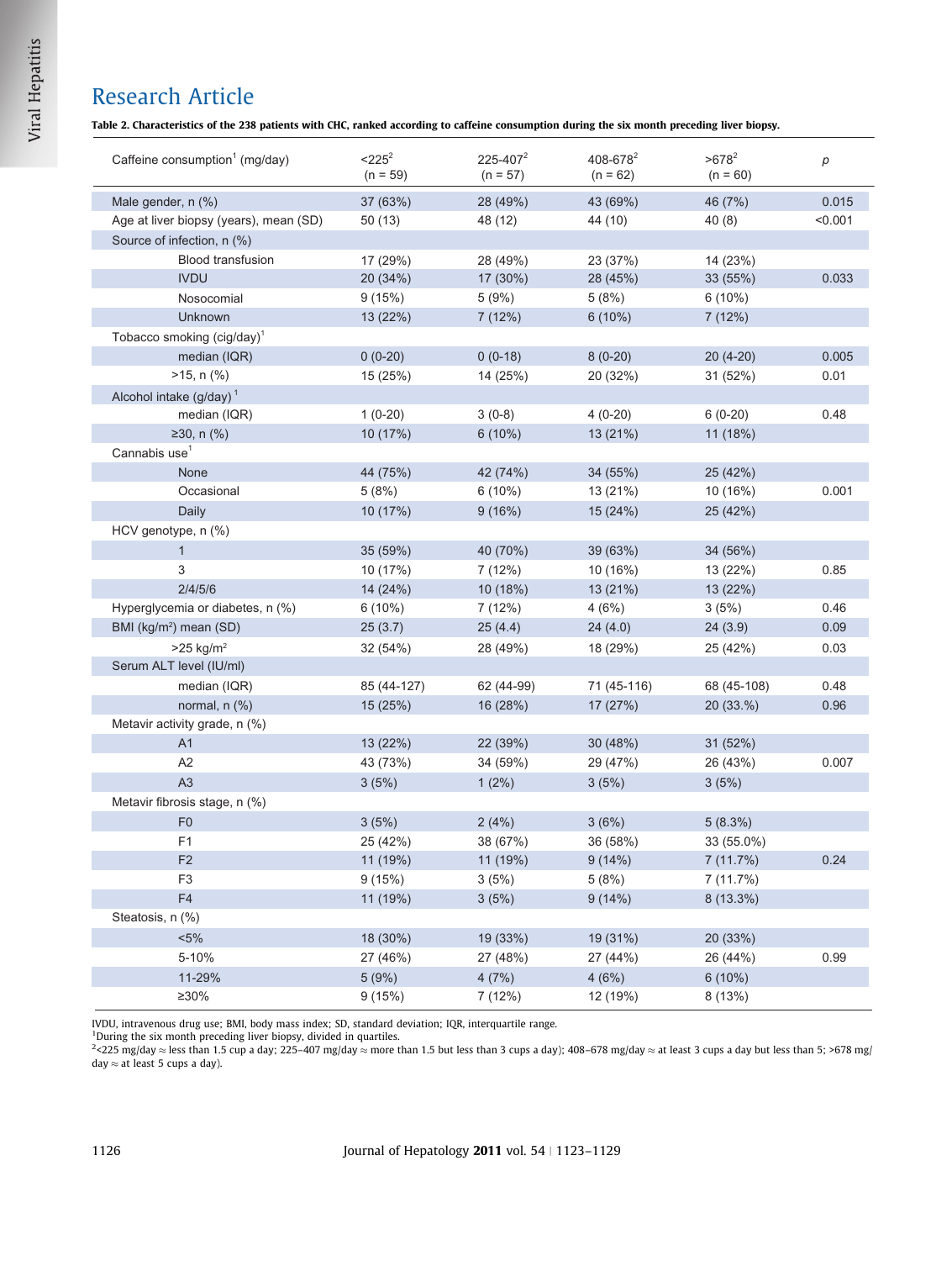# <span id="page-3-0"></span>Research Article

Table 2. Characteristics of the 238 patients with CHC, ranked according to caffeine consumption during the six month preceding liver biopsy.

| Caffeine consumption <sup>1</sup> (mg/day) | $<$ 225 <sup>2</sup><br>$(n = 59)$ | $225 - 407^2$<br>$(n = 57)$ | 408-678 <sup>2</sup><br>$(n = 62)$ | $>678^2$<br>$(n = 60)$ | $\boldsymbol{p}$ |
|--------------------------------------------|------------------------------------|-----------------------------|------------------------------------|------------------------|------------------|
| Male gender, n (%)                         | 37 (63%)                           | 28 (49%)                    | 43 (69%)                           | 46 (7%)                | 0.015            |
| Age at liver biopsy (years), mean (SD)     | 50(13)                             | 48 (12)                     | 44 (10)                            | 40(8)                  | < 0.001          |
| Source of infection, n (%)                 |                                    |                             |                                    |                        |                  |
| <b>Blood transfusion</b>                   | 17 (29%)                           | 28 (49%)                    | 23 (37%)                           | 14 (23%)               |                  |
| <b>IVDU</b>                                | 20 (34%)                           | 17 (30%)                    | 28 (45%)                           | 33 (55%)               | 0.033            |
| Nosocomial                                 | 9(15%)                             | 5(9%)                       | 5(8%)                              | $6(10\%)$              |                  |
| <b>Unknown</b>                             | 13 (22%)                           | 7(12%)                      | $6(10\%)$                          | 7(12%)                 |                  |
| Tobacco smoking (cig/day) <sup>1</sup>     |                                    |                             |                                    |                        |                  |
| median (IQR)                               | $0(0-20)$                          | $0(0-18)$                   | $8(0-20)$                          | $20(4-20)$             | 0.005            |
| $>15$ , n $(\%)$                           | 15 (25%)                           | 14 (25%)                    | 20 (32%)                           | 31 (52%)               | 0.01             |
| Alcohol intake $(g/day)^1$                 |                                    |                             |                                    |                        |                  |
| median (IQR)                               | $1(0-20)$                          | $3(0-8)$                    | $4(0-20)$                          | $6(0-20)$              | 0.48             |
| ≥30, n $(\frac{9}{6})$                     | 10 (17%)                           | $6(10\%)$                   | 13 (21%)                           | 11 (18%)               |                  |
| Cannabis use <sup>1</sup>                  |                                    |                             |                                    |                        |                  |
| None                                       | 44 (75%)                           | 42 (74%)                    | 34 (55%)                           | 25 (42%)               |                  |
| Occasional                                 | 5(8%)                              | $6(10\%)$                   | 13 (21%)                           | 10 (16%)               | 0.001            |
| Daily                                      | 10 (17%)                           | 9(16%)                      | 15 (24%)                           | 25 (42%)               |                  |
| HCV genotype, n (%)                        |                                    |                             |                                    |                        |                  |
| $\mathbf{1}$                               | 35 (59%)                           | 40 (70%)                    | 39 (63%)                           | 34 (56%)               |                  |
| 3                                          | 10 (17%)                           | 7 (12%)                     | 10 (16%)                           | 13 (22%)               | 0.85             |
| 2/4/5/6                                    | 14 (24%)                           | 10 (18%)                    | 13 (21%)                           | 13 (22%)               |                  |
| Hyperglycemia or diabetes, n (%)           | $6(10\%)$                          | 7(12%)                      | 4(6%)                              | 3(5%)                  | 0.46             |
| BMI (kg/m <sup>2</sup> ) mean (SD)         | 25(3.7)                            | 25(4.4)                     | 24(4.0)                            | 24(3.9)                | 0.09             |
| $>25$ kg/m <sup>2</sup>                    | 32 (54%)                           | 28 (49%)                    | 18 (29%)                           | 25 (42%)               | 0.03             |
| Serum ALT level (IU/ml)                    |                                    |                             |                                    |                        |                  |
| median (IQR)                               | 85 (44-127)                        | 62 (44-99)                  | 71 (45-116)                        | 68 (45-108)            | 0.48             |
| normal, $n$ $(\%)$                         | 15(25%)                            | 16 (28%)                    | 17(27%)                            | 20(33.%)               | 0.96             |
| Metavir activity grade, n (%)              |                                    |                             |                                    |                        |                  |
| A <sub>1</sub>                             | 13 (22%)                           | 22 (39%)                    | 30 (48%)                           | 31 (52%)               |                  |
| A2                                         | 43 (73%)                           | 34 (59%)                    | 29 (47%)                           | 26 (43%)               | 0.007            |
| A <sub>3</sub>                             | 3(5%)                              | $1(2\%)$                    | 3(5%)                              | 3(5%)                  |                  |
| Metavir fibrosis stage, n (%)              |                                    |                             |                                    |                        |                  |
| F <sub>0</sub>                             | 3(5%)                              | 2(4%)                       | 3(6%)                              | 5(8.3%)                |                  |
| F <sub>1</sub>                             | 25 (42%)                           | 38 (67%)                    | 36 (58%)                           | 33 (55.0%)             |                  |
| F <sub>2</sub>                             | 11 (19%)                           | 11 (19%)                    | 9(14%)                             | 7(11.7%)               | 0.24             |
| F <sub>3</sub>                             | 9(15%)                             | 3(5%)                       | 5(8%)                              | 7 (11.7%)              |                  |
| F4                                         | 11 (19%)                           | 3(5%)                       | 9(14%)                             | 8 (13.3%)              |                  |
| Steatosis, n (%)                           |                                    |                             |                                    |                        |                  |
| $< 5\%$                                    | 18 (30%)                           | 19 (33%)                    | 19 (31%)                           | 20 (33%)               |                  |
| 5-10%                                      | 27 (46%)                           | 27 (48%)                    | 27 (44%)                           | 26 (44%)               | 0.99             |
| 11-29%                                     | 5(9%)                              | 4(7%)                       | 4(6%)                              | $6(10\%)$              |                  |
| $\geq 30\%$                                | 9(15%)                             | 7 (12%)                     | 12 (19%)                           | 8 (13%)                |                  |

IVDU, intravenous drug use; BMI, body mass index; SD, standard deviation; IQR, interquartile range.

<sup>1</sup>During the six month preceding liver biopsy, divided in quartiles.<br><sup>2</sup><225 mg/day ≈ less than 1.5 cup a day; 225–407 mg/day ≈ more than 1.5 but less than 3 cups a day); 408–678 mg/day ≈ at least 3 cups a day but less t day  $\approx$  at least 5 cups a day).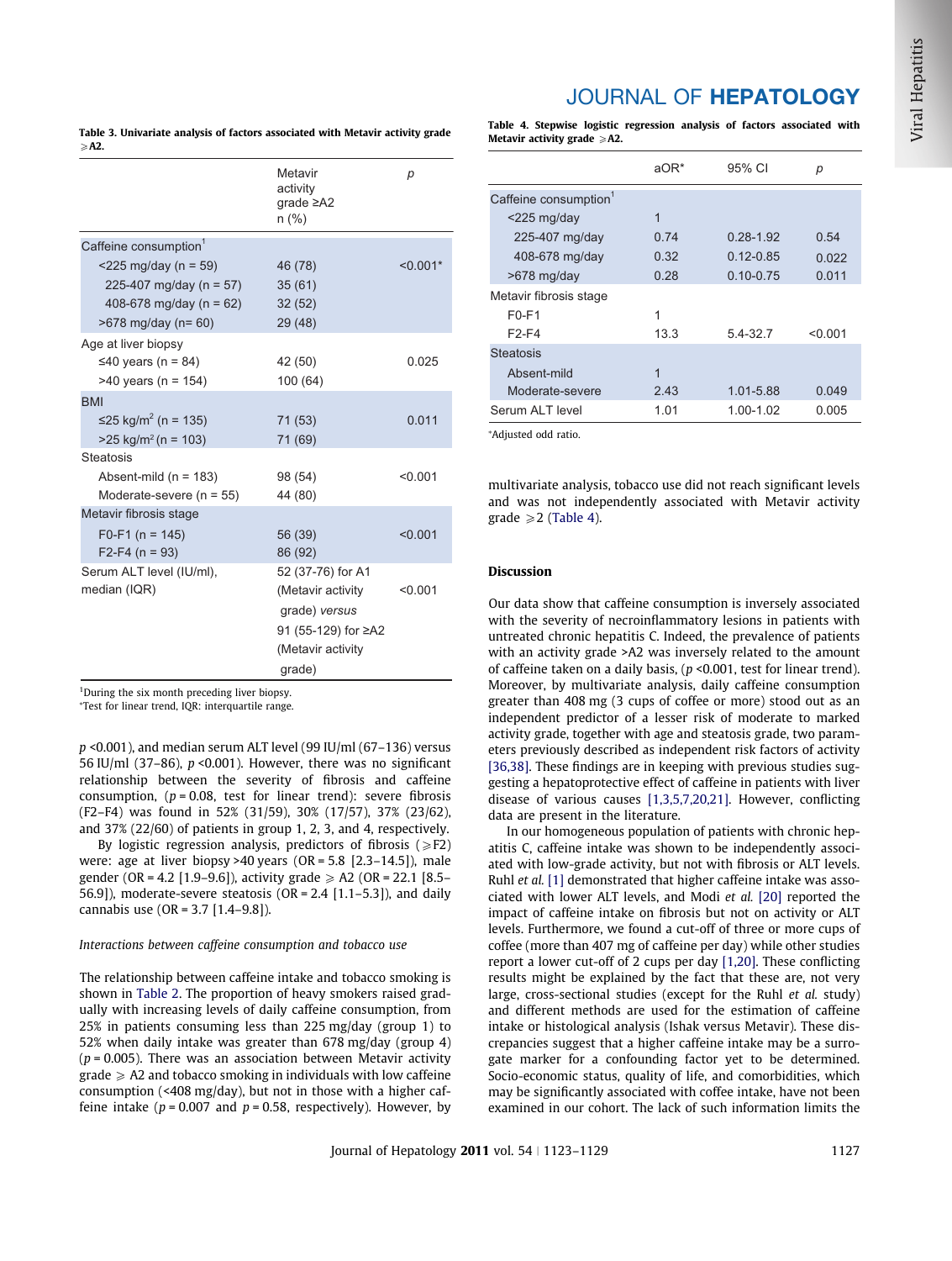### <span id="page-4-0"></span>Table 3. Univariate analysis of factors associated with Metavir activity grade  $\geq$ A2.

| Metavir<br>р<br>activity<br>$grade \geq A2$<br>$n$ (%) |  |
|--------------------------------------------------------|--|
|                                                        |  |
| Caffeine consumption <sup>1</sup>                      |  |
| $<$ 225 mg/day (n = 59)<br>46 (78)<br>$< 0.001*$       |  |
| 225-407 mg/day (n = 57)<br>35(61)                      |  |
| 408-678 mg/day ( $n = 62$ )<br>32(52)                  |  |
| 29 (48)<br>$>678$ mg/day (n= 60)                       |  |
| Age at liver biopsy                                    |  |
| ≤40 years (n = 84)<br>42 (50)<br>0.025                 |  |
| 100 (64)<br>$>40$ years (n = 154)                      |  |
| <b>BMI</b>                                             |  |
| ≤25 kg/m <sup>2</sup> (n = 135)<br>71 (53)<br>0.011    |  |
| $>25$ kg/m <sup>2</sup> (n = 103)<br>71 (69)           |  |
| <b>Steatosis</b>                                       |  |
| Absent-mild ( $n = 183$ )<br>98 (54)<br>< 0.001        |  |
| Moderate-severe ( $n = 55$ )<br>44 (80)                |  |
| Metavir fibrosis stage                                 |  |
| $F0-F1$ (n = 145)<br>56 (39)<br>< 0.001                |  |
| $F2-F4 (n = 93)$<br>86 (92)                            |  |
| Serum ALT level (IU/ml),<br>52 (37-76) for A1          |  |
| median (IQR)<br>(Metavir activity<br>< 0.001           |  |
| grade) versus                                          |  |
| 91 (55-129) for ≥A2                                    |  |
| (Metavir activity                                      |  |
| grade)                                                 |  |

<sup>1</sup>During the six month preceding liver biopsy.

⁄ Test for linear trend, IQR: interquartile range.

p <0.001), and median serum ALT level (99 IU/ml (67–136) versus 56 IU/ml (37–86),  $p \le 0.001$ ). However, there was no significant relationship between the severity of fibrosis and caffeine consumption,  $(p = 0.08$ , test for linear trend): severe fibrosis (F2–F4) was found in 52% (31/59), 30% (17/57), 37% (23/62), and 37% (22/60) of patients in group 1, 2, 3, and 4, respectively.

By logistic regression analysis, predictors of fibrosis ( $\geq$ F2) were: age at liver biopsy >40 years (OR = 5.8 [2.3–14.5]), male gender (OR = 4.2 [1.9–9.6]), activity grade  $\geq$  A2 (OR = 22.1 [8.5– 56.9]), moderate-severe steatosis  $(OR = 2.4 [1.1 - 5.3])$ , and daily cannabis use (OR = 3.7 [1.4–9.8]).

### Interactions between caffeine consumption and tobacco use

The relationship between caffeine intake and tobacco smoking is shown in [Table 2](#page-3-0). The proportion of heavy smokers raised gradually with increasing levels of daily caffeine consumption, from 25% in patients consuming less than 225 mg/day (group 1) to 52% when daily intake was greater than 678 mg/day (group 4)  $(p = 0.005)$ . There was an association between Metavir activity  $grade \geqslant A2$  and tobacco smoking in individuals with low caffeine consumption (<408 mg/day), but not in those with a higher caffeine intake ( $p = 0.007$  and  $p = 0.58$ , respectively). However, by

## JOURNAL OF HEPATOLOGY

Table 4. Stepwise logistic regression analysis of factors associated with Metavir activity grade  $\geqslant$  A2.

|                                   | aOR* | 95% CI        | р       |
|-----------------------------------|------|---------------|---------|
| Caffeine consumption <sup>1</sup> |      |               |         |
| $<$ 225 mg/day                    | 1    |               |         |
| 225-407 mg/day                    | 0.74 | 0.28-1.92     | 0.54    |
| 408-678 mg/day                    | 0.32 | $0.12 - 0.85$ | 0.022   |
| $>678$ mg/day                     | 0.28 | $0.10 - 0.75$ | 0.011   |
| Metavir fibrosis stage            |      |               |         |
| F0-F1                             | 1    |               |         |
| F2-F4                             | 13.3 | $5.4 - 32.7$  | < 0.001 |
| <b>Steatosis</b>                  |      |               |         |
| Absent-mild                       | 1    |               |         |
| Moderate-severe                   | 2.43 | 1.01-5.88     | 0.049   |
| Serum AI T level                  | 1.01 | 1.00-1.02     | 0.005   |

⁄ Adjusted odd ratio.

multivariate analysis, tobacco use did not reach significant levels and was not independently associated with Metavir activity grade  $\geq 2$  (Table 4).

### Discussion

Our data show that caffeine consumption is inversely associated with the severity of necroinflammatory lesions in patients with untreated chronic hepatitis C. Indeed, the prevalence of patients with an activity grade >A2 was inversely related to the amount of caffeine taken on a daily basis, ( $p$  <0.001, test for linear trend). Moreover, by multivariate analysis, daily caffeine consumption greater than 408 mg (3 cups of coffee or more) stood out as an independent predictor of a lesser risk of moderate to marked activity grade, together with age and steatosis grade, two parameters previously described as independent risk factors of activity [\[36,38\]](#page-6-0). These findings are in keeping with previous studies suggesting a hepatoprotective effect of caffeine in patients with liver disease of various causes [\[1,3,5,7,20,21\].](#page-5-0) However, conflicting data are present in the literature.

In our homogeneous population of patients with chronic hepatitis C, caffeine intake was shown to be independently associated with low-grade activity, but not with fibrosis or ALT levels. Ruhl et al. [\[1\]](#page-5-0) demonstrated that higher caffeine intake was associated with lower ALT levels, and Modi et al. [\[20\]](#page-6-0) reported the impact of caffeine intake on fibrosis but not on activity or ALT levels. Furthermore, we found a cut-off of three or more cups of coffee (more than 407 mg of caffeine per day) while other studies report a lower cut-off of 2 cups per day [\[1,20\]](#page-5-0). These conflicting results might be explained by the fact that these are, not very large, cross-sectional studies (except for the Ruhl et al. study) and different methods are used for the estimation of caffeine intake or histological analysis (Ishak versus Metavir). These discrepancies suggest that a higher caffeine intake may be a surrogate marker for a confounding factor yet to be determined. Socio-economic status, quality of life, and comorbidities, which may be significantly associated with coffee intake, have not been examined in our cohort. The lack of such information limits the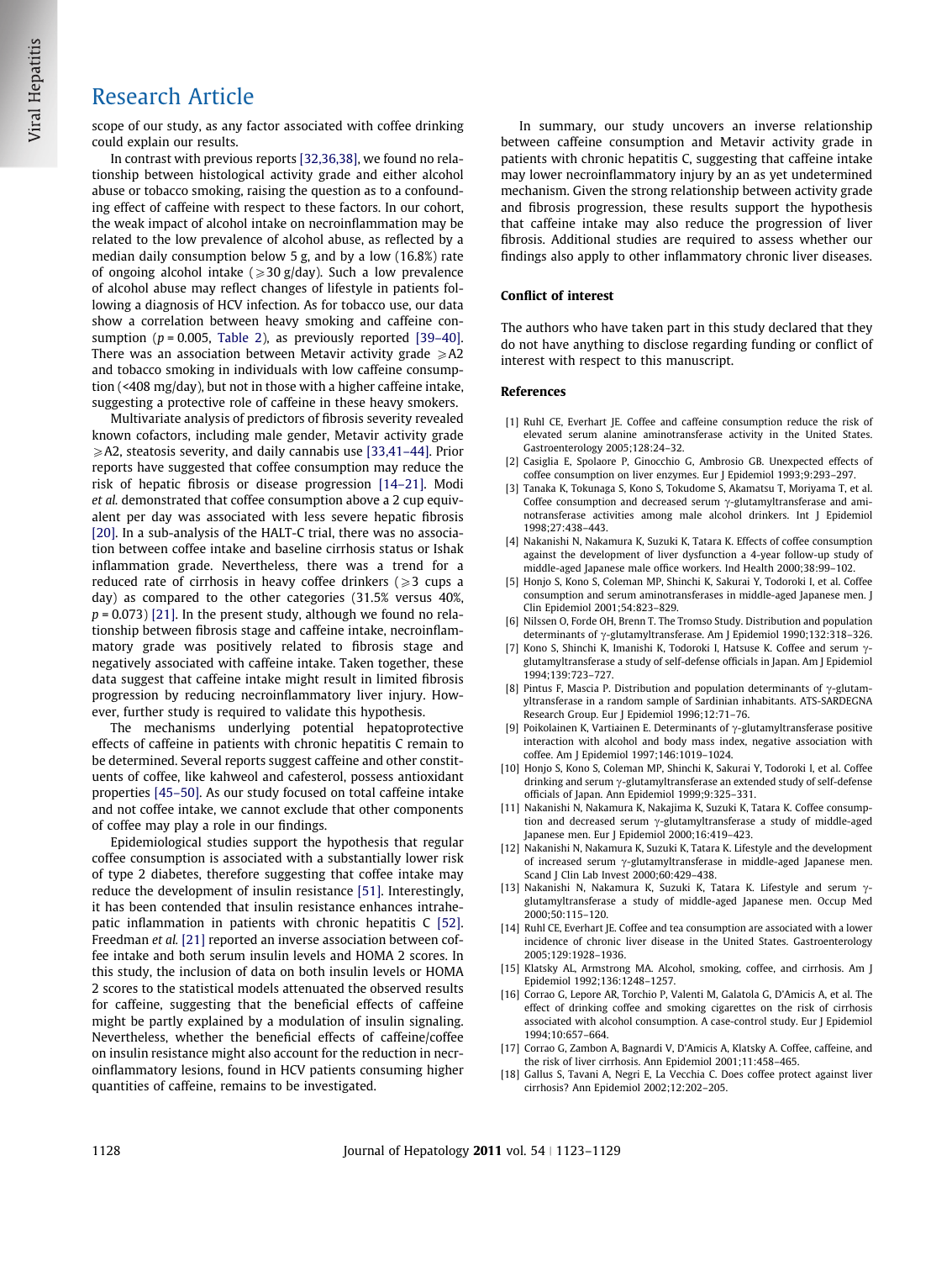### <span id="page-5-0"></span>Research Article

scope of our study, as any factor associated with coffee drinking could explain our results.

In contrast with previous reports [\[32,36,38\]](#page-6-0), we found no relationship between histological activity grade and either alcohol abuse or tobacco smoking, raising the question as to a confounding effect of caffeine with respect to these factors. In our cohort, the weak impact of alcohol intake on necroinflammation may be related to the low prevalence of alcohol abuse, as reflected by a median daily consumption below 5 g, and by a low (16.8%) rate of ongoing alcohol intake ( $\geq$ 30 g/day). Such a low prevalence of alcohol abuse may reflect changes of lifestyle in patients following a diagnosis of HCV infection. As for tobacco use, our data show a correlation between heavy smoking and caffeine consumption ( $p = 0.005$ , [Table 2\)](#page-3-0), as previously reported [39-40]. There was an association between Metavir activity grade  $\geq$ A2 and tobacco smoking in individuals with low caffeine consumption (<408 mg/day), but not in those with a higher caffeine intake, suggesting a protective role of caffeine in these heavy smokers.

Multivariate analysis of predictors of fibrosis severity revealed known cofactors, including male gender, Metavir activity grade  $\geq$  A2, steatosis severity, and daily cannabis use [\[33,41–44\].](#page-6-0) Prior reports have suggested that coffee consumption may reduce the risk of hepatic fibrosis or disease progression [14–21]. Modi et al. demonstrated that coffee consumption above a 2 cup equivalent per day was associated with less severe hepatic fibrosis [\[20\]](#page-6-0). In a sub-analysis of the HALT-C trial, there was no association between coffee intake and baseline cirrhosis status or Ishak inflammation grade. Nevertheless, there was a trend for a reduced rate of cirrhosis in heavy coffee drinkers  $\geq 3$  cups a day) as compared to the other categories (31.5% versus 40%,  $p = 0.073$ ) [\[21\].](#page-6-0) In the present study, although we found no relationship between fibrosis stage and caffeine intake, necroinflammatory grade was positively related to fibrosis stage and negatively associated with caffeine intake. Taken together, these data suggest that caffeine intake might result in limited fibrosis progression by reducing necroinflammatory liver injury. However, further study is required to validate this hypothesis.

The mechanisms underlying potential hepatoprotective effects of caffeine in patients with chronic hepatitis C remain to be determined. Several reports suggest caffeine and other constituents of coffee, like kahweol and cafesterol, possess antioxidant properties [\[45–50\]](#page-6-0). As our study focused on total caffeine intake and not coffee intake, we cannot exclude that other components of coffee may play a role in our findings.

Epidemiological studies support the hypothesis that regular coffee consumption is associated with a substantially lower risk of type 2 diabetes, therefore suggesting that coffee intake may reduce the development of insulin resistance [\[51\]](#page-6-0). Interestingly, it has been contended that insulin resistance enhances intrahepatic inflammation in patients with chronic hepatitis C [\[52\]](#page-6-0). Freedman et al. [\[21\]](#page-6-0) reported an inverse association between coffee intake and both serum insulin levels and HOMA 2 scores. In this study, the inclusion of data on both insulin levels or HOMA 2 scores to the statistical models attenuated the observed results for caffeine, suggesting that the beneficial effects of caffeine might be partly explained by a modulation of insulin signaling. Nevertheless, whether the beneficial effects of caffeine/coffee on insulin resistance might also account for the reduction in necroinflammatory lesions, found in HCV patients consuming higher quantities of caffeine, remains to be investigated.

In summary, our study uncovers an inverse relationship between caffeine consumption and Metavir activity grade in patients with chronic hepatitis C, suggesting that caffeine intake may lower necroinflammatory injury by an as yet undetermined mechanism. Given the strong relationship between activity grade and fibrosis progression, these results support the hypothesis that caffeine intake may also reduce the progression of liver fibrosis. Additional studies are required to assess whether our findings also apply to other inflammatory chronic liver diseases.

### Conflict of interest

The authors who have taken part in this study declared that they do not have anything to disclose regarding funding or conflict of interest with respect to this manuscript.

### References

- [1] Ruhl CE, Everhart JE. Coffee and caffeine consumption reduce the risk of elevated serum alanine aminotransferase activity in the United States. Gastroenterology 2005;128:24–32.
- [2] Casiglia E, Spolaore P, Ginocchio G, Ambrosio GB. Unexpected effects of coffee consumption on liver enzymes. Eur J Epidemiol 1993;9:293–297.
- [3] Tanaka K, Tokunaga S, Kono S, Tokudome S, Akamatsu T, Moriyama T, et al. Coffee consumption and decreased serum  $\gamma$ -glutamyltransferase and aminotransferase activities among male alcohol drinkers. Int J Epidemiol 1998;27:438–443.
- [4] Nakanishi N, Nakamura K, Suzuki K, Tatara K. Effects of coffee consumption against the development of liver dysfunction a 4-year follow-up study of middle-aged Japanese male office workers. Ind Health 2000;38:99–102.
- [5] Honjo S, Kono S, Coleman MP, Shinchi K, Sakurai Y, Todoroki I, et al. Coffee consumption and serum aminotransferases in middle-aged Japanese men. J Clin Epidemiol 2001;54:823–829.
- [6] Nilssen O, Forde OH, Brenn T. The Tromso Study. Distribution and population determinants of  $\gamma$ -glutamyltransferase. Am J Epidemiol 1990;132:318–326.
- [7] Kono S, Shinchi K, Imanishi K, Todoroki I, Hatsuse K, Coffee and serum  $\gamma$ glutamyltransferase a study of self-defense officials in Japan. Am J Epidemiol 1994;139:723–727.
- [8] Pintus F, Mascia P. Distribution and population determinants of  $\gamma$ -glutamyltransferase in a random sample of Sardinian inhabitants. ATS-SARDEGNA Research Group. Eur J Epidemiol 1996;12:71–76.
- [9] Poikolainen K, Vartiainen E. Determinants of  $\gamma$ -glutamyltransferase positive interaction with alcohol and body mass index, negative association with coffee. Am J Epidemiol 1997;146:1019–1024.
- [10] Honjo S, Kono S, Coleman MP, Shinchi K, Sakurai Y, Todoroki I, et al. Coffee drinking and serum  $\gamma$ -glutamyltransferase an extended study of self-defense officials of Japan. Ann Epidemiol 1999;9:325–331.
- [11] Nakanishi N, Nakamura K, Nakajima K, Suzuki K, Tatara K. Coffee consumption and decreased serum  $\gamma$ -glutamyltransferase a study of middle-aged Japanese men. Eur J Epidemiol 2000;16:419–423.
- [12] Nakanishi N, Nakamura K, Suzuki K, Tatara K. Lifestyle and the development of increased serum  $\gamma$ -glutamyltransferase in middle-aged Japanese men. Scand J Clin Lab Invest 2000;60:429–438.
- [13] Nakanishi N, Nakamura K, Suzuki K, Tatara K. Lifestyle and serum  $\gamma$ glutamyltransferase a study of middle-aged Japanese men. Occup Med 2000;50:115–120.
- [14] Ruhl CE, Everhart JE. Coffee and tea consumption are associated with a lower incidence of chronic liver disease in the United States. Gastroenterology 2005;129:1928–1936.
- [15] Klatsky AL, Armstrong MA. Alcohol, smoking, coffee, and cirrhosis. Am J Epidemiol 1992;136:1248–1257.
- [16] Corrao G, Lepore AR, Torchio P, Valenti M, Galatola G, D'Amicis A, et al. The effect of drinking coffee and smoking cigarettes on the risk of cirrhosis associated with alcohol consumption. A case-control study. Eur J Epidemiol 1994;10:657–664.
- [17] Corrao G, Zambon A, Bagnardi V, D'Amicis A, Klatsky A. Coffee, caffeine, and the risk of liver cirrhosis. Ann Epidemiol 2001;11:458–465.
- [18] Gallus S, Tavani A, Negri E, La Vecchia C. Does coffee protect against liver cirrhosis? Ann Epidemiol 2002;12:202–205.